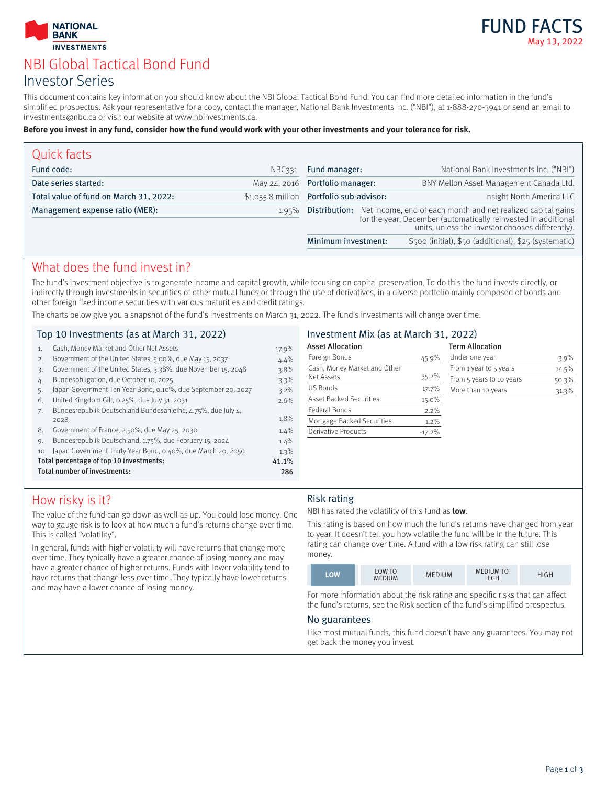



# NBI Global Tactical Bond Fund Investor Series

This document contains key information you should know about the NBI Global Tactical Bond Fund. You can find more detailed information in the fund's simplified prospectus. Ask your representative for a copy, contact the manager, National Bank Investments Inc. ("NBI"), at 1-888-270-3941 or send an email to investments@nbc.ca or visit our website at www.nbinvestments.ca.

#### **Before you invest in any fund, consider how the fund would work with your other investments and your tolerance for risk.**

| Quick facts                            |                                          |                                                                                                                                              |  |                                                       |
|----------------------------------------|------------------------------------------|----------------------------------------------------------------------------------------------------------------------------------------------|--|-------------------------------------------------------|
| Fund code:                             | NBC <sub>331</sub>                       | Fund manager:                                                                                                                                |  | National Bank Investments Inc. ("NBI")                |
| Date series started:                   |                                          | May 24, 2016 Portfolio manager:                                                                                                              |  | BNY Mellon Asset Management Canada Ltd.               |
| Total value of fund on March 31, 2022: | \$1,055.8 million Portfolio sub-advisor: |                                                                                                                                              |  | Insight North America LLC                             |
| Management expense ratio (MER):        | $1.95\%$                                 | Distribution: Net income, end of each month and net realized capital gains<br>for the year, December (automatically reinvested in additional |  | units, unless the investor chooses differently).      |
|                                        |                                          | Minimum investment:                                                                                                                          |  | \$500 (initial), \$50 (additional), \$25 (systematic) |

### What does the fund invest in?

The fund's investment objective is to generate income and capital growth, while focusing on capital preservation. To do this the fund invests directly, or indirectly through investments in securities of other mutual funds or through the use of derivatives, in a diverse portfolio mainly composed of bonds and other foreign fixed income securities with various maturities and credit ratings.

The charts below give you a snapshot of the fund's investments on March 31, 2022. The fund's investments will change over time.

### Top 10 Investments (as at March 31, 2022)

| 1.  | Cash, Money Market and Other Net Assets                              | 17.9% |
|-----|----------------------------------------------------------------------|-------|
| 2.  | Government of the United States, 5.00%, due May 15, 2037             | 4.4%  |
| 3.  | Government of the United States, 3.38%, due November 15, 2048        | 3.8%  |
| 4.  | Bundesobligation, due October 10, 2025                               | 3.3%  |
| 5.  | Japan Government Ten Year Bond, 0.10%, due September 20, 2027        | 3.2%  |
| 6.  | United Kingdom Gilt, 0.25%, due July 31, 2031                        | 2.6%  |
| 7.  | Bundesrepublik Deutschland Bundesanleihe, 4.75%, due July 4,<br>2028 | 1.8%  |
| 8.  | Government of France, 2.50%, due May 25, 2030                        | 1.4%  |
| 9.  | Bundesrepublik Deutschland, 1.75%, due February 15, 2024             | 1.4%  |
| 10. | Japan Government Thirty Year Bond, 0.40%, due March 20, 2050         | 1.3%  |
|     | Total percentage of top 10 investments:                              | 41.1% |
|     | Total number of investments:                                         | 286   |

### Investment Mix (as at March 31, 2022)

| <b>Asset Allocation</b>        |          | <b>Term Allocation</b>   |       |
|--------------------------------|----------|--------------------------|-------|
| Foreign Bonds                  | 45.9%    | Under one year           | 3.9%  |
| Cash, Money Market and Other   |          | From 1 year to 5 years   | 14.5% |
| Net Assets                     | 35.2%    | From 5 years to 10 years | 50.3% |
| <b>US Bonds</b>                | 17.7%    | More than 10 years       | 31.3% |
| <b>Asset Backed Securities</b> | 15.0%    |                          |       |
| Federal Bonds                  | 2.2%     |                          |       |
| Mortgage Backed Securities     | 1.2%     |                          |       |
| <b>Derivative Products</b>     | $-17.2%$ |                          |       |

## How risky is it?

The value of the fund can go down as well as up. You could lose money. One way to gauge risk is to look at how much a fund's returns change over time. This is called "volatility".

In general, funds with higher volatility will have returns that change more over time. They typically have a greater chance of losing money and may have a greater chance of higher returns. Funds with lower volatility tend to have returns that change less over time. They typically have lower returns and may have a lower chance of losing money.

#### Risk rating

NBI has rated the volatility of this fund as **low**.

This rating is based on how much the fund's returns have changed from year to year. It doesn't tell you how volatile the fund will be in the future. This rating can change over time. A fund with a low risk rating can still lose money.



For more information about the risk rating and specific risks that can affect the fund's returns, see the Risk section of the fund's simplified prospectus.

#### No guarantees

Like most mutual funds, this fund doesn't have any guarantees. You may not get back the money you invest.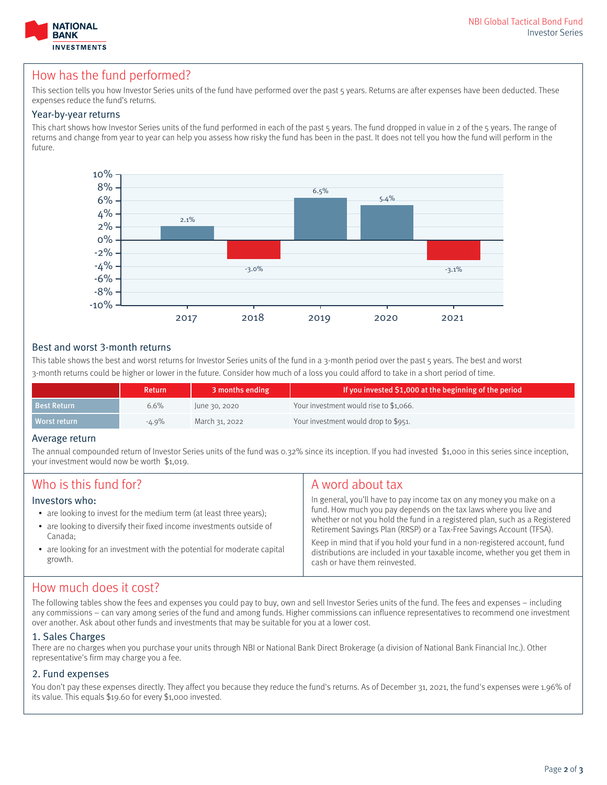



### How has the fund performed?

This section tells you how Investor Series units of the fund have performed over the past 5 years. Returns are after expenses have been deducted. These expenses reduce the fund's returns.

#### Year-by-year returns

This chart shows how Investor Series units of the fund performed in each of the past 5 years. The fund dropped in value in 2 of the 5 years. The range of returns and change from year to year can help you assess how risky the fund has been in the past. It does not tell you how the fund will perform in the future.



#### Best and worst 3-month returns

This table shows the best and worst returns for Investor Series units of the fund in a 3-month period over the past 5 years. The best and worst 3-month returns could be higher or lower in the future. Consider how much of a loss you could afford to take in a short period of time.

|                    | <b>Return</b> | 3 months ending | If you invested \$1,000 at the beginning of the period |
|--------------------|---------------|-----------------|--------------------------------------------------------|
| <b>Best Return</b> | 6.6%          | June 30, 2020   | Your investment would rise to \$1,066.                 |
| Worst return       | $-4.9\%$      | March 31, 2022  | Your investment would drop to \$951.                   |

#### Average return

The annual compounded return of Investor Series units of the fund was 0.32% since its inception. If you had invested \$1,000 in this series since inception, your investment would now be worth \$1,019.

| Who is this fund for?                                                                                                                                                                                                                                          | A word about tax                                                                                                                                                                                                                                                                                                                                                                                                                                                                             |
|----------------------------------------------------------------------------------------------------------------------------------------------------------------------------------------------------------------------------------------------------------------|----------------------------------------------------------------------------------------------------------------------------------------------------------------------------------------------------------------------------------------------------------------------------------------------------------------------------------------------------------------------------------------------------------------------------------------------------------------------------------------------|
| Investors who:<br>• are looking to invest for the medium term (at least three years);<br>• are looking to diversify their fixed income investments outside of<br>Canada:<br>• are looking for an investment with the potential for moderate capital<br>growth. | In general, you'll have to pay income tax on any money you make on a<br>fund. How much you pay depends on the tax laws where you live and<br>whether or not you hold the fund in a registered plan, such as a Registered<br>Retirement Savings Plan (RRSP) or a Tax-Free Savings Account (TFSA).<br>Keep in mind that if you hold your fund in a non-registered account, fund<br>distributions are included in your taxable income, whether you get them in<br>cash or have them reinvested. |

## How much does it cost?

The following tables show the fees and expenses you could pay to buy, own and sell Investor Series units of the fund. The fees and expenses – including any commissions – can vary among series of the fund and among funds. Higher commissions can influence representatives to recommend one investment over another. Ask about other funds and investments that may be suitable for you at a lower cost.

#### 1. Sales Charges

There are no charges when you purchase your units through NBI or National Bank Direct Brokerage (a division of National Bank Financial Inc.). Other representative's firm may charge you a fee.

### 2. Fund expenses

You don't pay these expenses directly. They affect you because they reduce the fund's returns. As of December 31, 2021, the fund's expenses were 1.96% of its value. This equals \$19.60 for every \$1,000 invested.